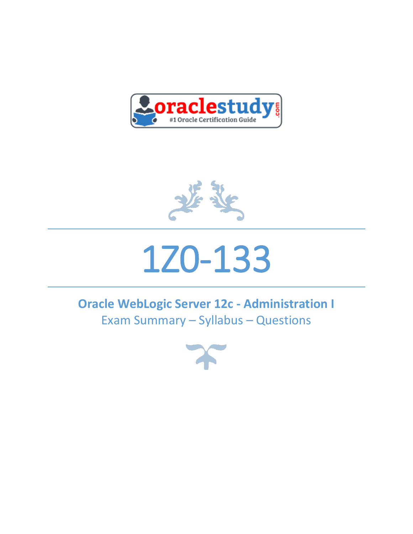



# 1Z0-133

# **Oracle WebLogic Server 12c - Administration I** Exam Summary – Syllabus – Questions

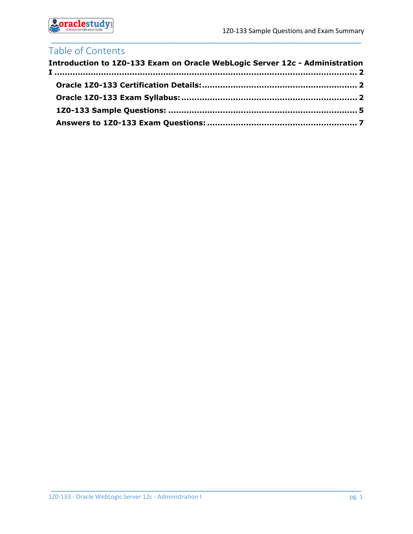

# Table of Contents

| Introduction to 1Z0-133 Exam on Oracle WebLogic Server 12c - Administration |  |
|-----------------------------------------------------------------------------|--|
|                                                                             |  |
|                                                                             |  |
|                                                                             |  |
|                                                                             |  |

\_\_\_\_\_\_\_\_\_\_\_\_\_\_\_\_\_\_\_\_\_\_\_\_\_\_\_\_\_\_\_\_\_\_\_\_\_\_\_\_\_\_\_\_\_\_\_\_\_\_\_\_\_\_\_\_\_\_\_\_\_\_\_\_\_\_\_\_\_\_\_\_\_\_\_\_\_\_\_\_\_\_\_\_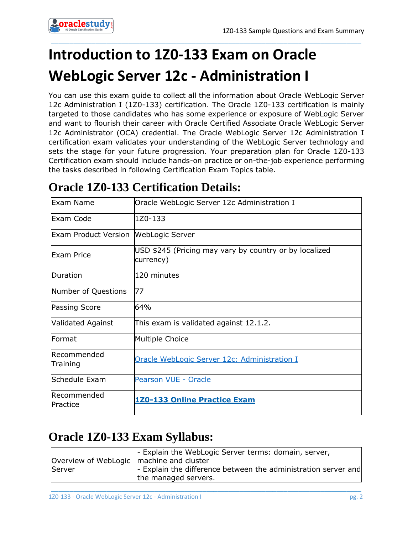# <span id="page-2-0"></span>**Introduction to 1Z0-133 Exam on Oracle WebLogic Server 12c - Administration I**

You can use this exam guide to collect all the information about Oracle WebLogic Server 12c Administration I (1Z0-133) certification. The Oracle 1Z0-133 certification is mainly targeted to those candidates who has some experience or exposure of WebLogic Server and want to flourish their career with Oracle Certified Associate Oracle WebLogic Server 12c Administrator (OCA) credential. The Oracle WebLogic Server 12c Administration I certification exam validates your understanding of the WebLogic Server technology and sets the stage for your future progression. Your preparation plan for Oracle 1Z0-133 Certification exam should include hands-on practice or on-the-job experience performing the tasks described in following Certification Exam Topics table.

\_\_\_\_\_\_\_\_\_\_\_\_\_\_\_\_\_\_\_\_\_\_\_\_\_\_\_\_\_\_\_\_\_\_\_\_\_\_\_\_\_\_\_\_\_\_\_\_\_\_\_\_\_\_\_\_\_\_\_\_\_\_\_\_\_\_\_\_\_\_\_\_\_\_\_\_\_\_\_\_\_\_\_\_

# <span id="page-2-1"></span>**Oracle 1Z0-133 Certification Details:**

| Exam Name                                   | Oracle WebLogic Server 12c Administration I                         |  |  |  |  |
|---------------------------------------------|---------------------------------------------------------------------|--|--|--|--|
| Exam Code                                   | 1Z0-133                                                             |  |  |  |  |
| <b>Exam Product Version WebLogic Server</b> |                                                                     |  |  |  |  |
| <b>Exam Price</b>                           | USD \$245 (Pricing may vary by country or by localized<br>currency) |  |  |  |  |
| Duration                                    | 120 minutes                                                         |  |  |  |  |
| Number of Questions                         | 77                                                                  |  |  |  |  |
| Passing Score                               | 64%                                                                 |  |  |  |  |
| Validated Against                           | This exam is validated against 12.1.2.                              |  |  |  |  |
| Format                                      | Multiple Choice                                                     |  |  |  |  |
| Recommended<br>Training                     | Oracle WebLogic Server 12c: Administration I                        |  |  |  |  |
| Schedule Exam                               | Pearson VUE - Oracle                                                |  |  |  |  |
| Recommended<br>Practice                     | 1Z0-133 Online Practice Exam                                        |  |  |  |  |

# <span id="page-2-2"></span>**Oracle 1Z0-133 Exam Syllabus:**

|                                            | $\vdash$ Explain the WebLogic Server terms: domain, server,            |
|--------------------------------------------|------------------------------------------------------------------------|
| Overview of WebLogic   machine and cluster |                                                                        |
| Server                                     | $\vert$ - Explain the difference between the administration server and |
|                                            | the managed servers.                                                   |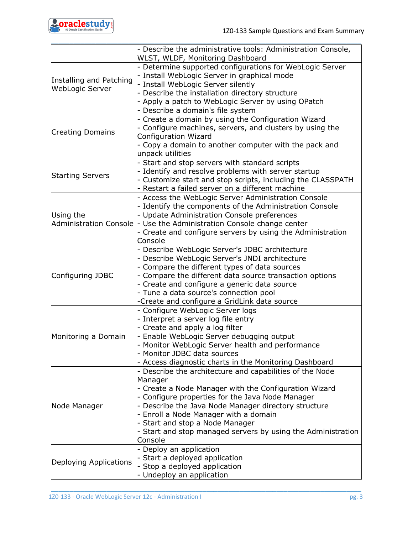

|                                                   | Describe the administrative tools: Administration Console,<br>WLST, WLDF, Monitoring Dashboard                                                                                                                                                                                                                                                                                    |
|---------------------------------------------------|-----------------------------------------------------------------------------------------------------------------------------------------------------------------------------------------------------------------------------------------------------------------------------------------------------------------------------------------------------------------------------------|
| Installing and Patching<br><b>WebLogic Server</b> | - Determine supported configurations for WebLogic Server<br>- Install WebLogic Server in graphical mode<br>Install WebLogic Server silently<br>Describe the installation directory structure                                                                                                                                                                                      |
|                                                   | Apply a patch to WebLogic Server by using OPatch                                                                                                                                                                                                                                                                                                                                  |
| <b>Creating Domains</b>                           | Describe a domain's file system<br>Create a domain by using the Configuration Wizard<br>Configure machines, servers, and clusters by using the<br>Configuration Wizard<br>Copy a domain to another computer with the pack and<br>unpack utilities                                                                                                                                 |
| <b>Starting Servers</b>                           | Start and stop servers with standard scripts<br>Identify and resolve problems with server startup<br>Customize start and stop scripts, including the CLASSPATH<br>Restart a failed server on a different machine                                                                                                                                                                  |
| Using the<br><b>Administration Console</b>        | Access the WebLogic Server Administration Console<br>Identify the components of the Administration Console<br>Update Administration Console preferences<br>Use the Administration Console change center<br>Create and configure servers by using the Administration<br>Console                                                                                                    |
| Configuring JDBC                                  | Describe WebLogic Server's JDBC architecture<br>Describe WebLogic Server's JNDI architecture<br>Compare the different types of data sources<br>Compare the different data source transaction options<br>Create and configure a generic data source<br>Tune a data source's connection pool<br>Create and configure a GridLink data source                                         |
| Monitoring a Domain                               | Configure WebLogic Server logs<br>Interpret a server log file entry<br>Create and apply a log filter<br>Enable WebLogic Server debugging output<br>Monitor WebLogic Server health and performance<br>Monitor JDBC data sources<br>Access diagnostic charts in the Monitoring Dashboard                                                                                            |
| Node Manager                                      | Describe the architecture and capabilities of the Node<br>Manager<br>Create a Node Manager with the Configuration Wizard<br>Configure properties for the Java Node Manager<br>Describe the Java Node Manager directory structure<br>Enroll a Node Manager with a domain<br>Start and stop a Node Manager<br>Start and stop managed servers by using the Administration<br>Console |
| Deploying Applications                            | Deploy an application<br>Start a deployed application<br>Stop a deployed application<br>Undeploy an application                                                                                                                                                                                                                                                                   |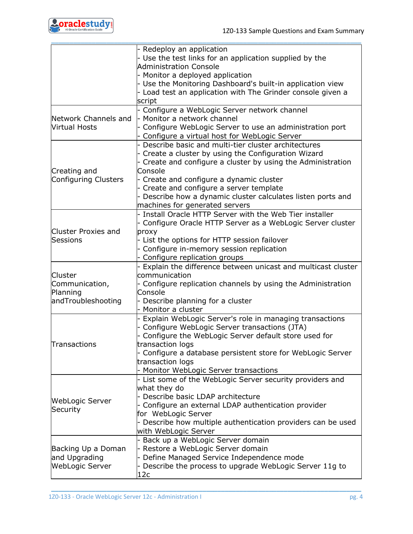

|                                                             | - Redeploy an application<br>Use the test links for an application supplied by the<br>Administration Console<br>- Monitor a deployed application<br>- Use the Monitoring Dashboard's built-in application view                                                                                                 |
|-------------------------------------------------------------|----------------------------------------------------------------------------------------------------------------------------------------------------------------------------------------------------------------------------------------------------------------------------------------------------------------|
|                                                             | - Load test an application with The Grinder console given a<br>script                                                                                                                                                                                                                                          |
| Network Channels and<br><b>Virtual Hosts</b>                | Configure a WebLogic Server network channel<br>Monitor a network channel<br>Configure WebLogic Server to use an administration port<br>Configure a virtual host for WebLogic Server                                                                                                                            |
| Creating and                                                | Describe basic and multi-tier cluster architectures<br>Create a cluster by using the Configuration Wizard<br>Create and configure a cluster by using the Administration<br>Console                                                                                                                             |
| Configuring Clusters                                        | - Create and configure a dynamic cluster<br>- Create and configure a server template<br>- Describe how a dynamic cluster calculates listen ports and<br>machines for generated servers                                                                                                                         |
| Cluster Proxies and<br><b>Sessions</b>                      | - Install Oracle HTTP Server with the Web Tier installer<br>Configure Oracle HTTP Server as a WebLogic Server cluster<br>proxy<br>- List the options for HTTP session failover<br>Configure in-memory session replication<br>Configure replication groups                                                      |
| Cluster<br>Communication,<br>Planning<br>andTroubleshooting | Explain the difference between unicast and multicast cluster<br>communication<br>- Configure replication channels by using the Administration<br>Console<br>- Describe planning for a cluster<br>Monitor a cluster                                                                                             |
| Transactions                                                | Explain WebLogic Server's role in managing transactions<br>- Configure WebLogic Server transactions (JTA)<br>Configure the WebLogic Server default store used for<br>transaction logs<br>Configure a database persistent store for WebLogic Server<br>transaction logs<br>Monitor WebLogic Server transactions |
| WebLogic Server<br>Security                                 | - List some of the WebLogic Server security providers and<br>what they do<br>Describe basic LDAP architecture<br>Configure an external LDAP authentication provider<br>for WebLogic Server<br>- Describe how multiple authentication providers can be used<br>with WebLogic Server                             |
| Backing Up a Doman<br>and Upgrading<br>WebLogic Server      | Back up a WebLogic Server domain<br>Restore a WebLogic Server domain<br>Define Managed Service Independence mode<br>- Describe the process to upgrade WebLogic Server 11g to<br>12c                                                                                                                            |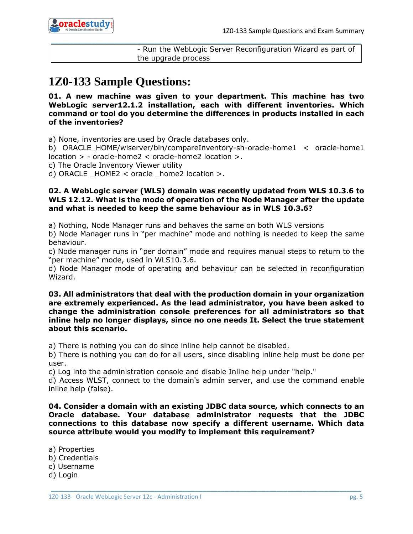

| $\vdash$ Run the WebLogic Server Reconfiguration Wizard as part of |
|--------------------------------------------------------------------|
| the upgrade process                                                |

## <span id="page-5-0"></span>**1Z0-133 Sample Questions:**

**01. A new machine was given to your department. This machine has two WebLogic server12.1.2 installation, each with different inventories. Which command or tool do you determine the differences in products installed in each of the inventories?**

a) None, inventories are used by Oracle databases only.

b) ORACLE\_HOME/wiserver/bin/compareInventory-sh-oracle-home1 < oracle-home1 location > - oracle-home2 < oracle-home2 location >.

c) The Oracle Inventory Viewer utility

d) ORACLE \_HOME2 < oracle \_home2 location >.

#### **02. A WebLogic server (WLS) domain was recently updated from WLS 10.3.6 to WLS 12.12. What is the mode of operation of the Node Manager after the update and what is needed to keep the same behaviour as in WLS 10.3.6?**

a) Nothing, Node Manager runs and behaves the same on both WLS versions

b) Node Manager runs in "per machine" mode and nothing is needed to keep the same behaviour.

c) Node manager runs in "per domain" mode and requires manual steps to return to the "per machine" mode, used in WLS10.3.6.

d) Node Manager mode of operating and behaviour can be selected in reconfiguration Wizard.

#### **03. All administrators that deal with the production domain in your organization are extremely experienced. As the lead administrator, you have been asked to change the administration console preferences for all administrators so that inline help no longer displays, since no one needs It. Select the true statement about this scenario.**

a) There is nothing you can do since inline help cannot be disabled.

b) There is nothing you can do for all users, since disabling inline help must be done per user.

c) Log into the administration console and disable Inline help under "help."

d) Access WLST, connect to the domain's admin server, and use the command enable inline help (false).

**04. Consider a domain with an existing JDBC data source, which connects to an Oracle database. Your database administrator requests that the JDBC connections to this database now specify a different username. Which data source attribute would you modify to implement this requirement?**

\_\_\_\_\_\_\_\_\_\_\_\_\_\_\_\_\_\_\_\_\_\_\_\_\_\_\_\_\_\_\_\_\_\_\_\_\_\_\_\_\_\_\_\_\_\_\_\_\_\_\_\_\_\_\_\_\_\_\_\_\_\_\_\_\_\_\_\_\_\_\_\_\_\_\_\_\_\_\_\_\_\_\_\_

a) Properties b) Credentials c) Username d) Login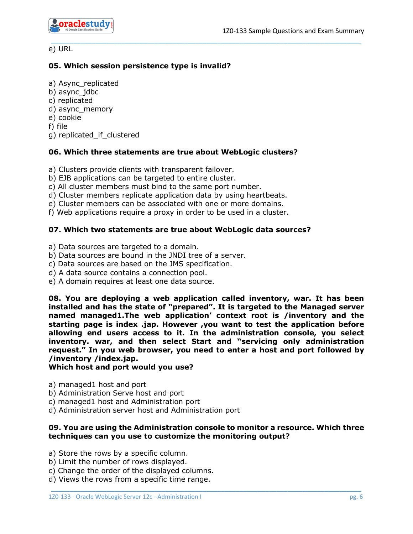

#### e) URL

#### **05. Which session persistence type is invalid?**

a) Async\_replicated

- b) async\_jdbc
- c) replicated

d) async\_memory

e) cookie

f) file

g) replicated\_if\_clustered

#### **06. Which three statements are true about WebLogic clusters?**

\_\_\_\_\_\_\_\_\_\_\_\_\_\_\_\_\_\_\_\_\_\_\_\_\_\_\_\_\_\_\_\_\_\_\_\_\_\_\_\_\_\_\_\_\_\_\_\_\_\_\_\_\_\_\_\_\_\_\_\_\_\_\_\_\_\_\_\_\_\_\_\_\_\_\_\_\_\_\_\_\_\_\_\_

a) Clusters provide clients with transparent failover.

- b) EJB applications can be targeted to entire cluster.
- c) All cluster members must bind to the same port number.
- d) Cluster members replicate application data by using heartbeats.
- e) Cluster members can be associated with one or more domains.

f) Web applications require a proxy in order to be used in a cluster.

#### **07. Which two statements are true about WebLogic data sources?**

a) Data sources are targeted to a domain.

- b) Data sources are bound in the JNDI tree of a server.
- c) Data sources are based on the JMS specification.
- d) A data source contains a connection pool.
- e) A domain requires at least one data source.

**08. You are deploying a web application called inventory, war. It has been installed and has the state of "prepared". It is targeted to the Managed server named managed1.The web application' context root is /inventory and the starting page is index .jap. However ,you want to test the application before allowing end users access to it. In the administration console, you select inventory. war, and then select Start and "servicing only administration request." In you web browser, you need to enter a host and port followed by /inventory /index.jap.**

#### **Which host and port would you use?**

- a) managed1 host and port
- b) Administration Serve host and port
- c) managed1 host and Administration port
- d) Administration server host and Administration port

#### **09. You are using the Administration console to monitor a resource. Which three techniques can you use to customize the monitoring output?**

- a) Store the rows by a specific column.
- b) Limit the number of rows displayed.
- c) Change the order of the displayed columns.
- d) Views the rows from a specific time range.